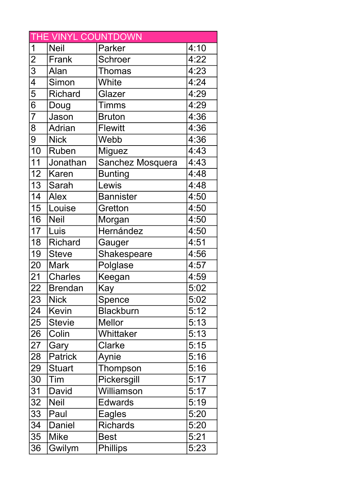| THE VINYL COUNTDOWN |                |                  |      |
|---------------------|----------------|------------------|------|
| 1                   | <b>Neil</b>    | Parker           | 4:10 |
| $\overline{2}$      | Frank          | <b>Schroer</b>   | 4:22 |
| 3                   | Alan           | <b>Thomas</b>    | 4:23 |
| 4                   | Simon          | White            | 4:24 |
| $\overline{5}$      | <b>Richard</b> | Glazer           | 4:29 |
| 6                   | Doug           | <b>Timms</b>     | 4:29 |
| $\overline{7}$      | Jason          | <b>Bruton</b>    | 4:36 |
| 8                   | <b>Adrian</b>  | <b>Flewitt</b>   | 4:36 |
| 9                   | <b>Nick</b>    | Webb             | 4:36 |
| 10                  | <b>Ruben</b>   | Miguez           | 4:43 |
| 11                  | Jonathan       | Sanchez Mosquera | 4:43 |
| 12                  | <b>Karen</b>   | <b>Bunting</b>   | 4:48 |
| 13                  | Sarah          | Lewis            | 4:48 |
| 14                  | <b>Alex</b>    | <b>Bannister</b> | 4:50 |
| 15                  | Louise         | Gretton          | 4:50 |
| 16                  | <b>Neil</b>    | Morgan           | 4:50 |
| 17                  | Luis           | Hernández        | 4:50 |
| 18                  | <b>Richard</b> | Gauger           | 4:51 |
| 19                  | <b>Steve</b>   | Shakespeare      | 4:56 |
| 20                  | <b>Mark</b>    | Polglase         | 4:57 |
| 21                  | <b>Charles</b> | Keegan           | 4:59 |
| 22                  | <b>Brendan</b> | Kay              | 5:02 |
| 23                  | <b>Nick</b>    | Spence           | 5:02 |
| 24                  | <b>Kevin</b>   | <b>Blackburn</b> | 5:12 |
| 25                  | <b>Stevie</b>  | <b>Mellor</b>    | 5:13 |
| 26                  | Colin          | Whittaker        | 5:13 |
| 27                  | Gary           | Clarke           | 5:15 |
| 28                  | <b>Patrick</b> | Aynie            | 5:16 |
| 29                  | <b>Stuart</b>  | Thompson         | 5:16 |
| 30                  | Tim            | Pickersgill      | 5:17 |
| 31                  | David          | Williamson       | 5:17 |
| 32                  | <b>Neil</b>    | <b>Edwards</b>   | 5:19 |
| 33                  | Paul           | Eagles           | 5:20 |
| 34                  | Daniel         | <b>Richards</b>  | 5:20 |
| 35                  | <b>Mike</b>    | <b>Best</b>      | 5:21 |
| 36                  | Gwilym         | <b>Phillips</b>  | 5:23 |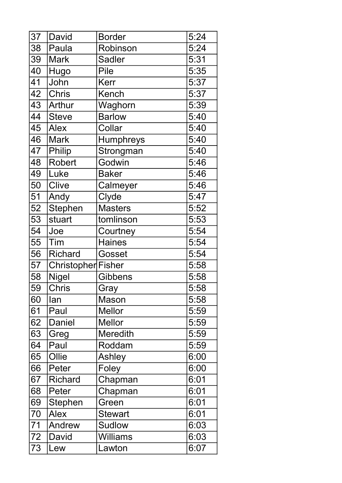| 37 | David              | <b>Border</b>    | 5:24 |
|----|--------------------|------------------|------|
| 38 | Paula              | Robinson         | 5:24 |
| 39 | <b>Mark</b>        | <b>Sadler</b>    | 5:31 |
| 40 | Hugo               | Pile             | 5:35 |
| 41 | John               | Kerr             | 5:37 |
| 42 | <b>Chris</b>       | Kench            | 5:37 |
| 43 | Arthur             | Waghorn          | 5:39 |
| 44 | <b>Steve</b>       | <b>Barlow</b>    | 5:40 |
| 45 | <b>Alex</b>        | Collar           | 5:40 |
| 46 | <b>Mark</b>        | <b>Humphreys</b> | 5:40 |
| 47 | Philip             | Strongman        | 5:40 |
| 48 | <b>Robert</b>      | Godwin           | 5:46 |
| 49 | Luke               | <b>Baker</b>     | 5:46 |
| 50 | Clive              | Calmeyer         | 5:46 |
| 51 | Andy               | Clyde            | 5:47 |
| 52 | Stephen            | <b>Masters</b>   | 5:52 |
| 53 | stuart             | tomlinson        | 5:53 |
| 54 | Joe                | Courtney         | 5:54 |
| 55 | Tim                | <b>Haines</b>    | 5:54 |
| 56 | <b>Richard</b>     | Gosset           | 5:54 |
| 57 | Christopher Fisher |                  | 5:58 |
| 58 | <b>Nigel</b>       | <b>Gibbens</b>   | 5:58 |
| 59 | <b>Chris</b>       | Gray             | 5:58 |
| 60 | lan                | Mason            | 5:58 |
| 61 | Paul               | <b>Mellor</b>    | 5:59 |
| 62 | Daniel             | <b>Mellor</b>    | 5:59 |
| 63 | Greg               | <b>Meredith</b>  | 5:59 |
| 64 | Paul               | Roddam           | 5:59 |
| 65 | Ollie              | Ashley           | 6:00 |
| 66 | Peter              | Foley            | 6:00 |
| 67 | <b>Richard</b>     | Chapman          | 6:01 |
| 68 | Peter              | Chapman          | 6:01 |
| 69 | Stephen            | Green            | 6:01 |
| 70 | <b>Alex</b>        | <b>Stewart</b>   | 6:01 |
| 71 | Andrew             | <b>Sudlow</b>    | 6:03 |
| 72 | David              | <b>Williams</b>  | 6:03 |
| 73 | Lew                | Lawton           | 6:07 |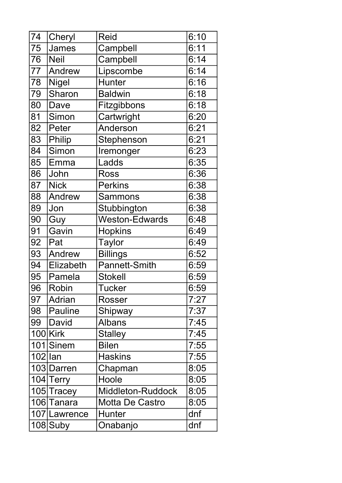| 74         | Cheryl         | <b>Reid</b>            | 6:10 |
|------------|----------------|------------------------|------|
| 75         | James          | Campbell               | 6:11 |
| 76         | <b>Neil</b>    | Campbell               | 6:14 |
| 77         | Andrew         | Lipscombe              | 6:14 |
| 78         | <b>Nigel</b>   | <b>Hunter</b>          | 6:16 |
| 79         | Sharon         | <b>Baldwin</b>         | 6:18 |
| 80         | Dave           | Fitzgibbons            | 6:18 |
| 81         | Simon          | Cartwright             | 6:20 |
| 82         | Peter          | Anderson               | 6:21 |
| 83         | Philip         | Stephenson             | 6:21 |
| 84         | Simon          | Iremonger              | 6:23 |
| 85         | Emma           | Ladds                  | 6:35 |
| 86         | John           | <b>Ross</b>            | 6:36 |
| 87         | <b>Nick</b>    | <b>Perkins</b>         | 6:38 |
| 88         | Andrew         | <b>Sammons</b>         | 6:38 |
| 89         | Jon            | Stubbington            | 6:38 |
| 90         | Guy            | <b>Weston-Edwards</b>  | 6:48 |
| 91         | Gavin          | <b>Hopkins</b>         | 6:49 |
| 92         | Pat            | <b>Taylor</b>          | 6:49 |
| 93         | Andrew         | <b>Billings</b>        | 6:52 |
| 94         | Elizabeth      | <b>Pannett-Smith</b>   | 6:59 |
| 95         | Pamela         | <b>Stokell</b>         | 6:59 |
| 96         | Robin          | <b>Tucker</b>          | 6:59 |
| 97         | Adrian         | Rosser                 | 7:27 |
| 98         | <b>Pauline</b> | Shipway                | 7:37 |
| 99         | David          | <b>Albans</b>          | 7:45 |
|            | $100$ Kirk     | <b>Stalley</b>         | 7:45 |
|            | 101 Sinem      | <b>Bilen</b>           | 7:55 |
| $102$  lan |                | <b>Haskins</b>         | 7:55 |
|            | 103 Darren     | Chapman                | 8:05 |
|            | 104 Terry      | Hoole                  | 8:05 |
|            | 105 Tracey     | Middleton-Ruddock      | 8:05 |
|            | 106 Tanara     | <b>Motta De Castro</b> | 8:05 |
|            | 107 Lawrence   | <b>Hunter</b>          | dnf  |
|            | 108 Suby       | Onabanjo               | dnf  |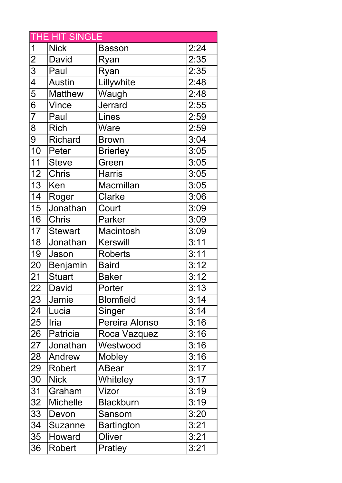| THE HIT SINGLE           |                 |                   |      |
|--------------------------|-----------------|-------------------|------|
| 1                        | <b>Nick</b>     | <b>Basson</b>     | 2:24 |
| $\overline{2}$           | David           | Ryan              | 2:35 |
| $\overline{3}$           | Paul            | Ryan              | 2:35 |
| $\overline{\mathcal{A}}$ | <b>Austin</b>   | Lillywhite        | 2:48 |
| 5                        | <b>Matthew</b>  | Waugh             | 2:48 |
| 6                        | <b>Vince</b>    | Jerrard           | 2:55 |
| $\overline{7}$           | Paul            | Lines             | 2:59 |
| 8                        | <b>Rich</b>     | Ware              | 2:59 |
| 9                        | <b>Richard</b>  | <b>Brown</b>      | 3:04 |
| $\overline{10}$          | Peter           | <b>Brierley</b>   | 3:05 |
| 11                       | <b>Steve</b>    | Green             | 3:05 |
| 12                       | <b>Chris</b>    | <b>Harris</b>     | 3:05 |
| 13                       | Ken             | <b>Macmillan</b>  | 3:05 |
| 14                       | Roger           | Clarke            | 3:06 |
| 15                       | Jonathan        | Court             | 3:09 |
| 16                       | <b>Chris</b>    | Parker            | 3:09 |
| 17                       | <b>Stewart</b>  | <b>Macintosh</b>  | 3:09 |
| 18                       | Jonathan        | <b>Kerswill</b>   | 3:11 |
| 19                       | Jason           | <b>Roberts</b>    | 3:11 |
| 20                       | Benjamin        | <b>Baird</b>      | 3:12 |
| 21                       | <b>Stuart</b>   | <b>Baker</b>      | 3:12 |
| 22                       | David           | Porter            | 3:13 |
| 23                       | Jamie           | <b>Blomfield</b>  | 3:14 |
| 24                       | Lucia           | Singer            | 3:14 |
| 25                       | Iria            | Pereira Alonso    | 3:16 |
| 26                       | Patricia        | Roca Vazquez      | 3:16 |
| 27                       | Jonathan        | Westwood          | 3:16 |
| 28                       | Andrew          | Mobley            | 3:16 |
| 29                       | <b>Robert</b>   | ABear             | 3:17 |
| 30                       | <b>Nick</b>     | Whiteley          | 3:17 |
| 31                       | Graham          | Vizor             | 3:19 |
| 32                       | <b>Michelle</b> | <b>Blackburn</b>  | 3:19 |
| 33                       | Devon           | Sansom            | 3:20 |
| 34                       | Suzanne         | <b>Bartington</b> | 3:21 |
| 35                       | Howard          | Oliver            | 3:21 |
| 36                       | Robert          | Pratley           | 3:21 |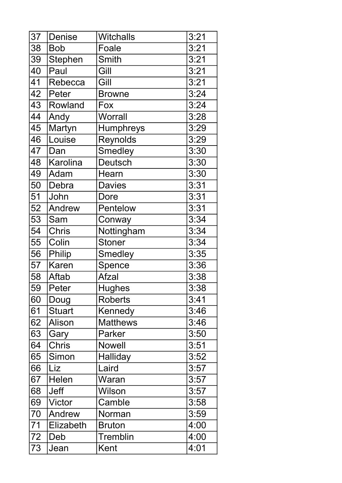| 37 | <b>Denise</b>  | <b>Witchalls</b> | 3:21 |
|----|----------------|------------------|------|
| 38 | <b>Bob</b>     | Foale            | 3:21 |
| 39 | <b>Stephen</b> | <b>Smith</b>     | 3:21 |
| 40 | Paul           | Gill             | 3:21 |
| 41 | Rebecca        | Gill             | 3:21 |
| 42 | Peter          | <b>Browne</b>    | 3:24 |
| 43 | Rowland        | Fox              | 3:24 |
| 44 | Andy           | Worrall          | 3:28 |
| 45 | Martyn         | <b>Humphreys</b> | 3:29 |
| 46 | Louise         | Reynolds         | 3:29 |
| 47 | Dan            | <b>Smedley</b>   | 3:30 |
| 48 | Karolina       | <b>Deutsch</b>   | 3:30 |
| 49 | Adam           | Hearn            | 3:30 |
| 50 | Debra          | <b>Davies</b>    | 3:31 |
| 51 | John           | Dore             | 3:31 |
| 52 | Andrew         | Pentelow         | 3:31 |
| 53 | Sam            | Conway           | 3:34 |
| 54 | <b>Chris</b>   | Nottingham       | 3:34 |
| 55 | Colin          | <b>Stoner</b>    | 3:34 |
| 56 | Philip         | <b>Smedley</b>   | 3:35 |
| 57 | <b>Karen</b>   | Spence           | 3:36 |
| 58 | Aftab          | Afzal            | 3:38 |
| 59 | <b>Peter</b>   | <b>Hughes</b>    | 3:38 |
| 60 | Doug           | <b>Roberts</b>   | 3:41 |
| 61 | <b>Stuart</b>  | Kennedy          | 3:46 |
| 62 | Alison         | <b>Matthews</b>  | 3:46 |
| 63 | Gary           | Parker           | 3:50 |
| 64 | <b>Chris</b>   | <b>Nowell</b>    | 3:51 |
| 65 | Simon          | Halliday         | 3:52 |
| 66 | Liz            | Laird            | 3:57 |
| 67 | Helen          | Waran            | 3:57 |
| 68 | <b>Jeff</b>    | Wilson           | 3:57 |
| 69 | Victor         | Camble           | 3:58 |
| 70 | Andrew         | Norman           | 3:59 |
| 71 | Elizabeth      | <b>Bruton</b>    | 4:00 |
| 72 | Deb            | <b>Tremblin</b>  | 4:00 |
| 73 | Jean           | Kent             | 4:01 |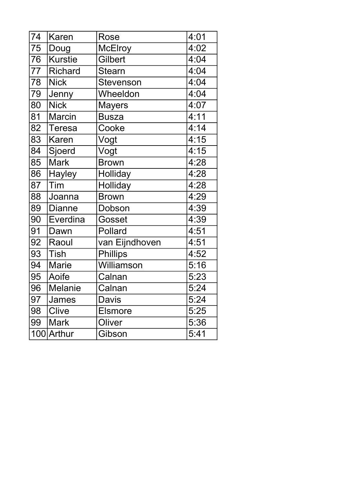| 74  | Karen          | Rose             | 4:01 |
|-----|----------------|------------------|------|
| 75  | Doug           | <b>McElroy</b>   | 4:02 |
| 76  | <b>Kurstie</b> | Gilbert          | 4:04 |
| 77  | <b>Richard</b> | <b>Stearn</b>    | 4:04 |
| 78  | <b>Nick</b>    | <b>Stevenson</b> | 4:04 |
| 79  | Jenny          | Wheeldon         | 4:04 |
| 80  | <b>Nick</b>    | <b>Mayers</b>    | 4:07 |
| 81  | <b>Marcin</b>  | <b>Busza</b>     | 4:11 |
| 82  | <b>Teresa</b>  | Cooke            | 4:14 |
| 83  | <b>Karen</b>   | Vogt             | 4:15 |
| 84  | Sjoerd         | Vogt             | 4:15 |
| 85  | <b>Mark</b>    | <b>Brown</b>     | 4:28 |
| 86  | <b>Hayley</b>  | Holliday         | 4:28 |
| 87  | Tim            | Holliday         | 4:28 |
| 88  | Joanna         | <b>Brown</b>     | 4:29 |
| 89  | <b>Dianne</b>  | Dobson           | 4:39 |
| 90  | Everdina       | Gosset           | 4:39 |
| 91  | Dawn           | Pollard          | 4:51 |
| 92  | Raoul          | van Eijndhoven   | 4:51 |
| 93  | <b>Tish</b>    | <b>Phillips</b>  | 4:52 |
| 94  | <b>Marie</b>   | Williamson       | 5:16 |
| 95  | Aoife          | Calnan           | 5:23 |
| 96  | Melanie        | Calnan           | 5:24 |
| 97  | James          | Davis            | 5:24 |
| 98  | Clive          | <b>Elsmore</b>   | 5:25 |
| 99  | Mark           | Oliver           | 5:36 |
| 100 | Arthur         | Gibson           | 5:41 |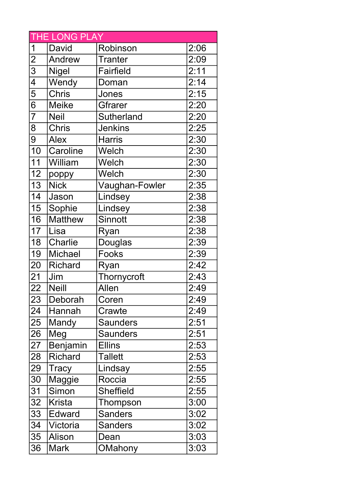| <b>THE LONG PLAY</b> |                |                   |      |
|----------------------|----------------|-------------------|------|
| 1                    | David          | Robinson          | 2:06 |
| $\overline{2}$       | Andrew         | <b>Tranter</b>    | 2:09 |
| $\overline{3}$       | <b>Nigel</b>   | <b>Fairfield</b>  | 2:11 |
| $\overline{4}$       | Wendy          | Doman             | 2:14 |
| $\overline{5}$       | <b>Chris</b>   | Jones             | 2:15 |
| $\overline{6}$       | <b>Meike</b>   | Gfrarer           | 2:20 |
| $\overline{7}$       | <b>Neil</b>    | <b>Sutherland</b> | 2:20 |
| 8                    | <b>Chris</b>   | <b>Jenkins</b>    | 2:25 |
| 9                    | <b>Alex</b>    | <b>Harris</b>     | 2:30 |
| $\overline{10}$      | Caroline       | Welch             | 2:30 |
| $\overline{11}$      | William        | Welch             | 2:30 |
| 12                   | poppy          | Welch             | 2:30 |
| 13                   | <b>Nick</b>    | Vaughan-Fowler    | 2:35 |
| 14                   | Jason          | Lindsey           | 2:38 |
| 15                   | Sophie         | Lindsey           | 2:38 |
| 16                   | Matthew        | <b>Sinnott</b>    | 2:38 |
| 17                   | Lisa           | Ryan              | 2:38 |
| 18                   | Charlie        | Douglas           | 2:39 |
| 19                   | <b>Michael</b> | Fooks             | 2:39 |
| 20                   | <b>Richard</b> | Ryan              | 2:42 |
| 21                   | Jim            | Thornycroft       | 2:43 |
| 22                   | <b>Neill</b>   | Allen             | 2:49 |
| 23                   | Deborah        | Coren             | 2:49 |
| 24                   | Hannah         | Crawte            | 2:49 |
| 25                   | Mandy          | <b>Saunders</b>   | 2:51 |
| 26                   | Meg            | <b>Saunders</b>   | 2:51 |
| 27                   | Benjamin       | <b>Ellins</b>     | 2:53 |
| 28                   | <b>Richard</b> | <b>Tallett</b>    | 2:53 |
| 29                   | <b>Tracy</b>   | Lindsay           | 2:55 |
| 30                   | Maggie         | Roccia            | 2:55 |
| 31                   | Simon          | <b>Sheffield</b>  | 2:55 |
| 32                   | <b>Krista</b>  | Thompson          | 3:00 |
| 33                   | Edward         | <b>Sanders</b>    | 3:02 |
| 34                   | Victoria       | <b>Sanders</b>    | 3:02 |
| 35                   | Alison         | Dean              | 3:03 |
| 36                   | <b>Mark</b>    | OMahony           | 3:03 |